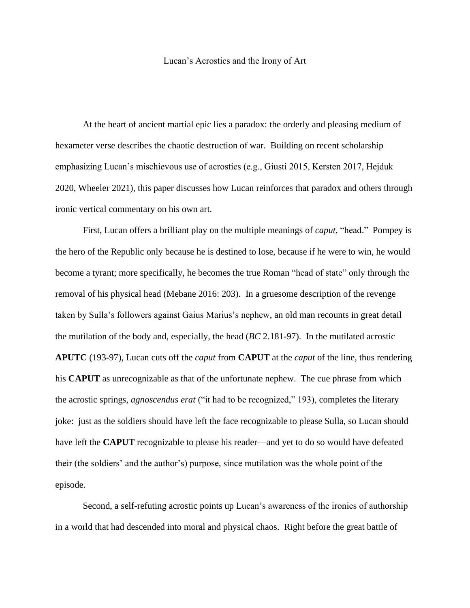## Lucan's Acrostics and the Irony of Art

At the heart of ancient martial epic lies a paradox: the orderly and pleasing medium of hexameter verse describes the chaotic destruction of war. Building on recent scholarship emphasizing Lucan's mischievous use of acrostics (e.g., Giusti 2015, Kersten 2017, Hejduk 2020, Wheeler 2021), this paper discusses how Lucan reinforces that paradox and others through ironic vertical commentary on his own art.

First, Lucan offers a brilliant play on the multiple meanings of *caput*, "head." Pompey is the hero of the Republic only because he is destined to lose, because if he were to win, he would become a tyrant; more specifically, he becomes the true Roman "head of state" only through the removal of his physical head (Mebane 2016: 203). In a gruesome description of the revenge taken by Sulla's followers against Gaius Marius's nephew, an old man recounts in great detail the mutilation of the body and, especially, the head (*BC* 2.181-97). In the mutilated acrostic **APUTC** (193-97), Lucan cuts off the *caput* from **CAPUT** at the *caput* of the line, thus rendering his **CAPUT** as unrecognizable as that of the unfortunate nephew. The cue phrase from which the acrostic springs, *agnoscendus erat* ("it had to be recognized," 193), completes the literary joke: just as the soldiers should have left the face recognizable to please Sulla, so Lucan should have left the **CAPUT** recognizable to please his reader—and yet to do so would have defeated their (the soldiers' and the author's) purpose, since mutilation was the whole point of the episode.

Second, a self-refuting acrostic points up Lucan's awareness of the ironies of authorship in a world that had descended into moral and physical chaos. Right before the great battle of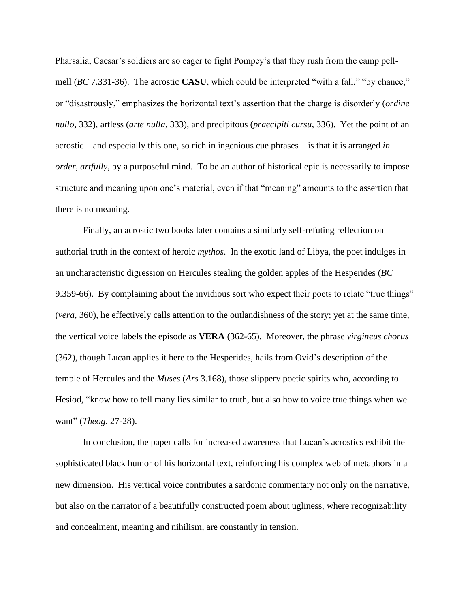Pharsalia, Caesar's soldiers are so eager to fight Pompey's that they rush from the camp pellmell (*BC* 7.331-36). The acrostic **CASU**, which could be interpreted "with a fall," "by chance," or "disastrously," emphasizes the horizontal text's assertion that the charge is disorderly (*ordine nullo*, 332), artless (*arte nulla*, 333), and precipitous (*praecipiti cursu*, 336). Yet the point of an acrostic—and especially this one, so rich in ingenious cue phrases—is that it is arranged *in order*, *artfully*, by a purposeful mind. To be an author of historical epic is necessarily to impose structure and meaning upon one's material, even if that "meaning" amounts to the assertion that there is no meaning.

Finally, an acrostic two books later contains a similarly self-refuting reflection on authorial truth in the context of heroic *mythos*. In the exotic land of Libya, the poet indulges in an uncharacteristic digression on Hercules stealing the golden apples of the Hesperides (*BC* 9.359-66). By complaining about the invidious sort who expect their poets to relate "true things" (*vera*, 360), he effectively calls attention to the outlandishness of the story; yet at the same time, the vertical voice labels the episode as **VERA** (362-65). Moreover, the phrase *virgineus chorus* (362), though Lucan applies it here to the Hesperides, hails from Ovid's description of the temple of Hercules and the *Muses* (*Ars* 3.168), those slippery poetic spirits who, according to Hesiod, "know how to tell many lies similar to truth, but also how to voice true things when we want" (*Theog*. 27-28).

In conclusion, the paper calls for increased awareness that Lucan's acrostics exhibit the sophisticated black humor of his horizontal text, reinforcing his complex web of metaphors in a new dimension. His vertical voice contributes a sardonic commentary not only on the narrative, but also on the narrator of a beautifully constructed poem about ugliness, where recognizability and concealment, meaning and nihilism, are constantly in tension.